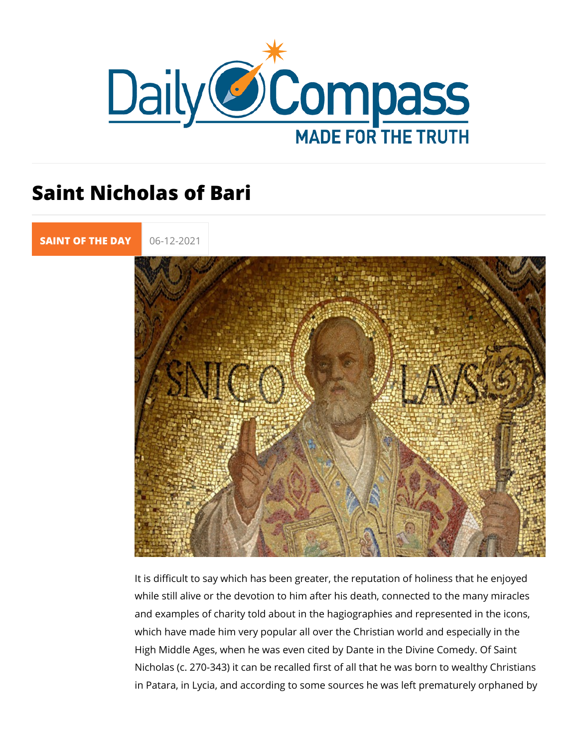## Saint Nicholas of Bari

[SAINT OF TH](https://newdailycompass.com/en/santi-del-giorno)E 06-12-2021

It is difficult to say which has been greater, the reputation of while still alive or the devotion to him after his death, connec and examples of charity told about in the hagiographies and re which have made him very popular all over the Christian world High Middle Ages, when he was even cited by Dante in the Div Nicholas (c. 270-343) it can be recalled first of all that he wa in Patara, in Lycia, and according to some sources he was left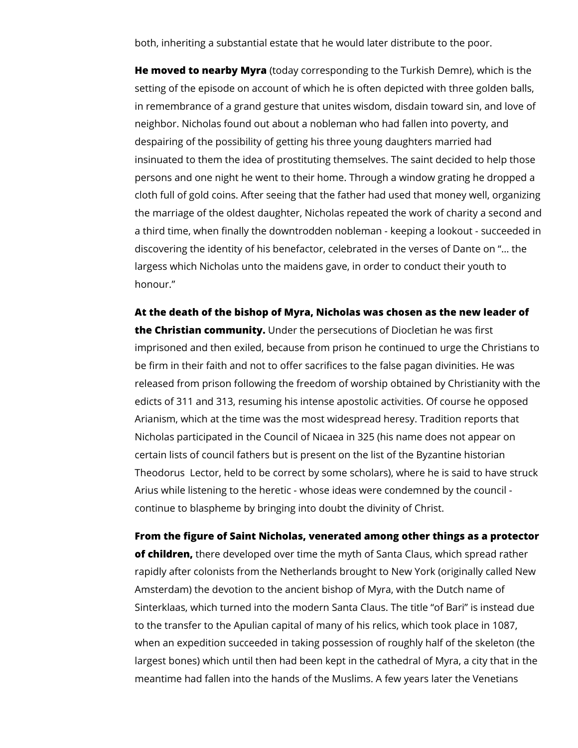both, inheriting a substantial estate that he would later distribute to the poor.

**He moved to nearby Myra** (today corresponding to the Turkish Demre), which is the setting of the episode on account of which he is often depicted with three golden balls, in remembrance of a grand gesture that unites wisdom, disdain toward sin, and love of neighbor. Nicholas found out about a nobleman who had fallen into poverty, and despairing of the possibility of getting his three young daughters married had insinuated to them the idea of prostituting themselves. The saint decided to help those persons and one night he went to their home. Through a window grating he dropped a cloth full of gold coins. After seeing that the father had used that money well, organizing the marriage of the oldest daughter, Nicholas repeated the work of charity a second and a third time, when finally the downtrodden nobleman - keeping a lookout - succeeded in discovering the identity of his benefactor, celebrated in the verses of Dante on "… the largess which Nicholas unto the maidens gave, in order to conduct their youth to honour."

**At the death of the bishop of Myra, Nicholas was chosen as the new leader of the Christian community.** Under the persecutions of Diocletian he was first imprisoned and then exiled, because from prison he continued to urge the Christians to be firm in their faith and not to offer sacrifices to the false pagan divinities. He was released from prison following the freedom of worship obtained by Christianity with the edicts of 311 and 313, resuming his intense apostolic activities. Of course he opposed Arianism, which at the time was the most widespread heresy. Tradition reports that Nicholas participated in the Council of Nicaea in 325 (his name does not appear on certain lists of council fathers but is present on the list of the Byzantine historian Theodorus Lector, held to be correct by some scholars), where he is said to have struck Arius while listening to the heretic - whose ideas were condemned by the council continue to blaspheme by bringing into doubt the divinity of Christ.

**From the figure of Saint Nicholas, venerated among other things as a protector of children,** there developed over time the myth of Santa Claus, which spread rather rapidly after colonists from the Netherlands brought to New York (originally called New Amsterdam) the devotion to the ancient bishop of Myra, with the Dutch name of Sinterklaas, which turned into the modern Santa Claus. The title "of Bari" is instead due to the transfer to the Apulian capital of many of his relics, which took place in 1087, when an expedition succeeded in taking possession of roughly half of the skeleton (the largest bones) which until then had been kept in the cathedral of Myra, a city that in the meantime had fallen into the hands of the Muslims. A few years later the Venetians